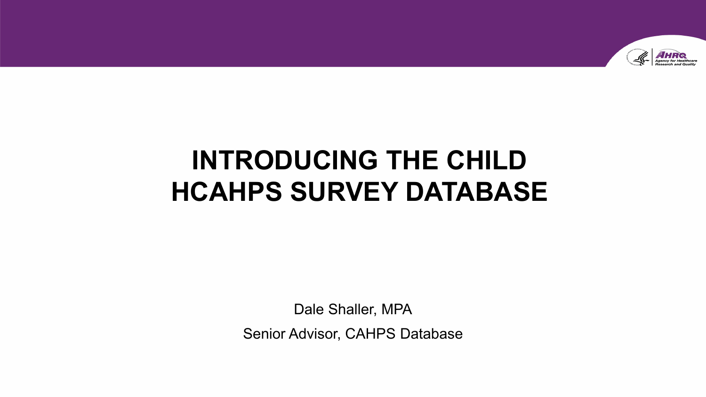

# **INTRODUCING THE CHILD HCAHPS SURVEY DATABASE**

Dale Shaller, MPA

Senior Advisor, CAHPS Database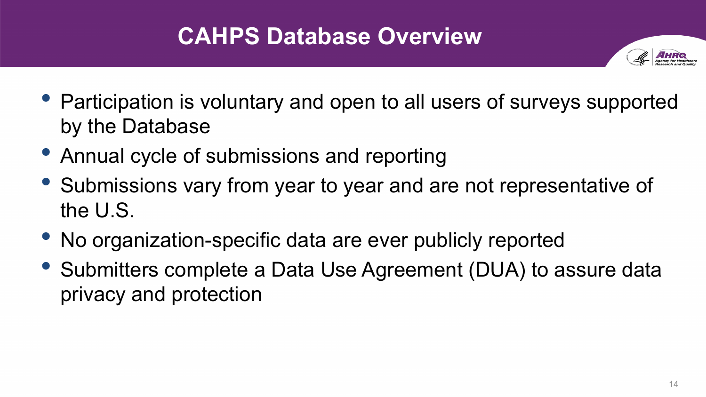# **CAHPS Database Overview**



- Participation is voluntary and open to all users of surveys supported by the Database
- Annual cycle of submissions and reporting
- Submissions vary from year to year and are not representative of the U.S.
- No organization-specific data are ever publicly reported
- Submitters complete a Data Use Agreement (DUA) to assure data privacy and protection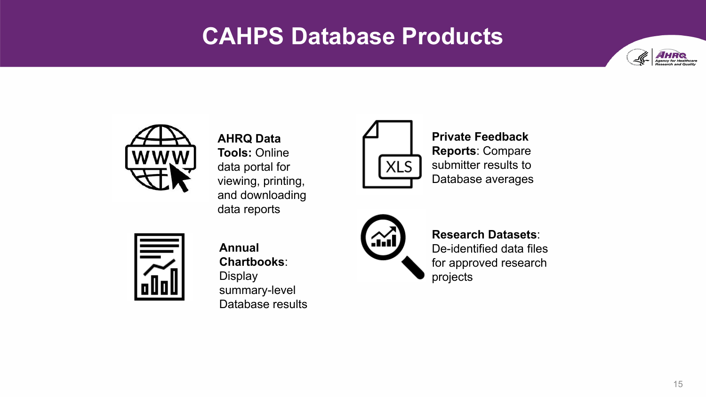#### **CAHPS Database Products**





**AHRQ Data Tools:** Online data portal for viewing, printing, and downloading data reports



**Private Feedback Reports**: Compare submitter results to Database averages



**Annual Chartbooks**: **Display** summary-level Database results



**Research Datasets**: De-identified data files for approved research projects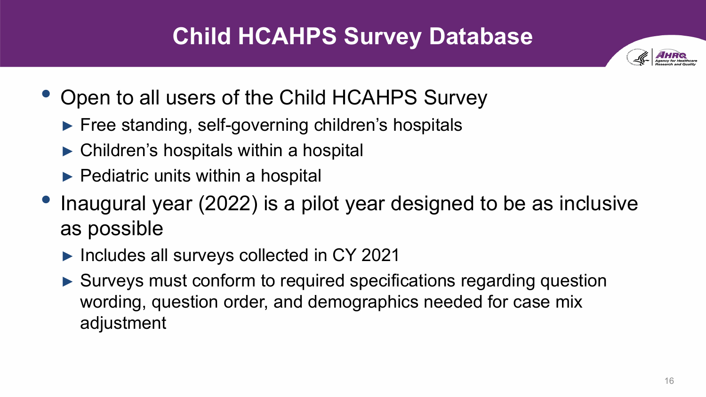# **Child HCAHPS Survey Database**



- Open to all users of the Child HCAHPS Survey
	- ► Free standing, self-governing children's hospitals
	- ► Children's hospitals within a hospital
	- $\blacktriangleright$  Pediatric units within a hospital
- Inaugural year (2022) is a pilot year designed to be as inclusive as possible
	- ► Includes all surveys collected in CY 2021
	- ► Surveys must conform to required specifications regarding question wording, question order, and demographics needed for case mix adjustment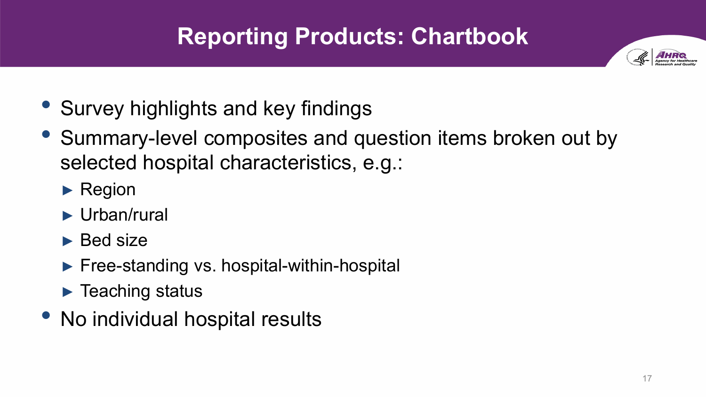# **Reporting Products: Chartbook**

- Survey highlights and key findings
- Summary-level composites and question items broken out by selected hospital characteristics, e.g.:
	- ► Region
	- ► Urban/rural
	- ► Bed size
	- ► Free-standing vs. hospital-within-hospital
	- ► Teaching status
- No individual hospital results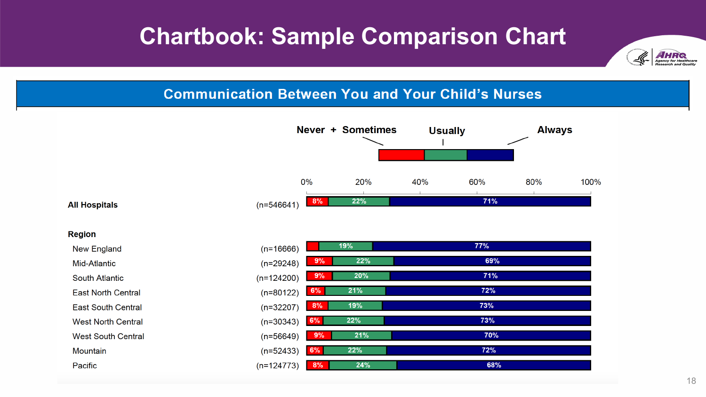# **Chartbook: Sample Comparison Chart**



#### **Communication Between You and Your Child's Nurses**

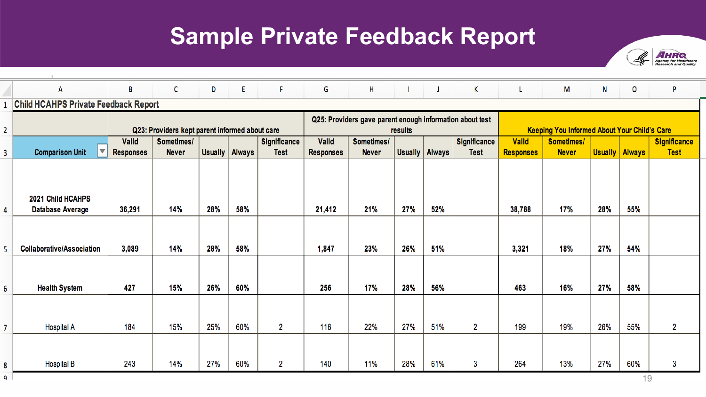### **Sample Private Feedback Report**



|                | A                                            | B                                                 | C            | D   | E.               | $-$ F.         | G                                                                   | H            | -1               | $\mathsf{J}$ | K           | L.                                                  | M            | N                | 0         | P                   |
|----------------|----------------------------------------------|---------------------------------------------------|--------------|-----|------------------|----------------|---------------------------------------------------------------------|--------------|------------------|--------------|-------------|-----------------------------------------------------|--------------|------------------|-----------|---------------------|
| $\mathbf{1}$   |                                              | <b>Child HCAHPS Private Feedback Report</b>       |              |     |                  |                |                                                                     |              |                  |              |             |                                                     |              |                  |           |                     |
| $\overline{2}$ |                                              | Q23: Providers kept parent informed about care    |              |     |                  |                | Q25: Providers gave parent enough information about test<br>results |              |                  |              |             | <b>Keeping You Informed About Your Child's Care</b> |              |                  |           |                     |
|                |                                              | <b>Valid</b><br>Sometimes/<br><b>Significance</b> |              |     |                  |                | <b>Significance</b><br><b>Valid</b><br>Sometimes/                   |              |                  |              |             | <b>Valid</b>                                        | Sometimes/   |                  |           | <b>Significance</b> |
| 3              | <b>Comparison Unit</b>                       | <b>Responses</b>                                  | <b>Never</b> |     | Usually   Always | <b>Test</b>    | <b>Responses</b>                                                    | <b>Never</b> | Usually   Always |              | <b>Test</b> | <b>Responses</b>                                    | <b>Never</b> | Usually   Always |           | <b>Test</b>         |
| 4              | 2021 Child HCAHPS<br><b>Database Average</b> | 36,291                                            | 14%          | 28% | 58%              |                | 21,412                                                              | 21%          | 27%              | 52%          |             | 38,788                                              | 17%          | 28%              | 55%       |                     |
| 5              | <b>Collaborative/Association</b>             | 3,089                                             | 14%          | 28% | 58%              |                | 1,847                                                               | 23%          | 26%              | 51%          |             | 3,321                                               | 18%          | 27%              | 54%       |                     |
| 6              | <b>Health System</b>                         | 427                                               | 15%          | 26% | 60%              |                | 256                                                                 | 17%          | 28%              | 56%          |             | 463                                                 | 16%          | 27%              | 58%       |                     |
| $\overline{7}$ | <b>Hospital A</b>                            | 184                                               | 15%          | 25% | 60%              | $\overline{2}$ | 116                                                                 | 22%          | 27%              | 51%          | 2           | 199                                                 | 19%          | 26%              | 55%       | 2                   |
| 8<br>٥         | <b>Hospital B</b>                            | 243                                               | 14%          | 27% | 60%              | $\mathbf{2}$   | 140                                                                 | 11%          | 28%              | 61%          | 3           | 264                                                 | 13%          | 27%              | 60%<br>19 | 3                   |